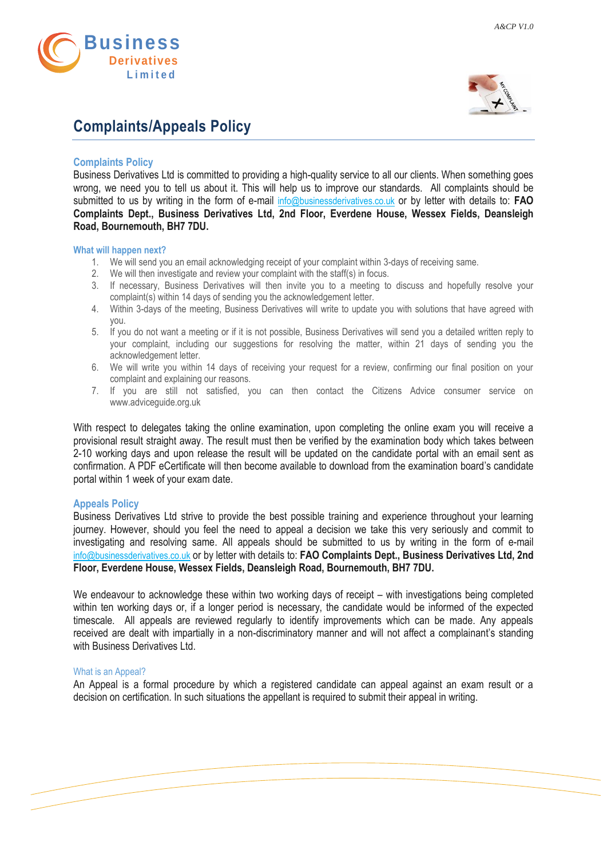

# **Complaints/Appeals Policy**



*A&CP V1.0*

## **Complaints Policy**

Business Derivatives Ltd is committed to providing a high-quality service to all our clients. When something goes wrong, we need you to tell us about it. This will help us to improve our standards. All complaints should be submitted to us by writing in the form of e-mail [info@businessderivatives.co.uk](mailto:info@businessderivatives.co.uk) or by letter with details to: **FAO Complaints Dept., Business Derivatives Ltd, 2nd Floor, Everdene House, Wessex Fields, Deansleigh Road, Bournemouth, BH7 7DU.**

#### **What will happen next?**

- 1. We will send you an email acknowledging receipt of your complaint within 3-days of receiving same.
- 2. We will then investigate and review your complaint with the staff(s) in focus.
- 3. If necessary, Business Derivatives will then invite you to a meeting to discuss and hopefully resolve your complaint(s) within 14 days of sending you the acknowledgement letter.
- 4. Within 3-days of the meeting, Business Derivatives will write to update you with solutions that have agreed with you.
- 5. If you do not want a meeting or if it is not possible, Business Derivatives will send you a detailed written reply to your complaint, including our suggestions for resolving the matter, within 21 days of sending you the acknowledgement letter.
- 6. We will write you within 14 days of receiving your request for a review, confirming our final position on your complaint and explaining our reasons.
- 7. If you are still not satisfied, you can then contact the Citizens Advice consumer service on www.adviceguide.org.uk

With respect to delegates taking the online examination, upon completing the online exam you will receive a provisional result straight away. The result must then be verified by the examination body which takes between 2-10 working days and upon release the result will be updated on the candidate portal with an email sent as confirmation. A PDF eCertificate will then become available to download from the examination board's candidate portal within 1 week of your exam date.

#### **Appeals Policy**

Business Derivatives Ltd strive to provide the best possible training and experience throughout your learning journey. However, should you feel the need to appeal a decision we take this very seriously and commit to investigating and resolving same. All appeals should be submitted to us by writing in the form of e-mail [info@businessderivatives.co.uk](mailto:info@businessderivatives.co.uk) or by letter with details to: **FAO Complaints Dept., Business Derivatives Ltd, 2nd Floor, Everdene House, Wessex Fields, Deansleigh Road, Bournemouth, BH7 7DU.**

We endeavour to acknowledge these within two working days of receipt – with investigations being completed within ten working days or, if a longer period is necessary, the candidate would be informed of the expected timescale. All appeals are reviewed regularly to identify improvements which can be made. Any appeals received are dealt with impartially in a non-discriminatory manner and will not affect a complainant's standing with Business Derivatives Ltd.

#### What is an Appeal?

An Appeal is a formal procedure by which a registered candidate can appeal against an exam result or a decision on certification. In such situations the appellant is required to submit their appeal in writing.